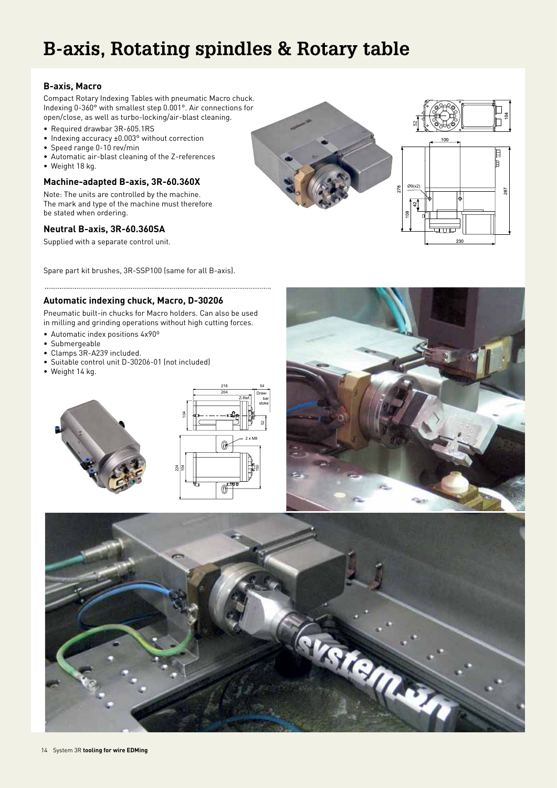# **B-axis, Rotating spindles & Rotary table**

## **B-axis, Macro**

Compact Rotary Indexing Tables with pneumatic Macro chuck. Indexing 0-360° with smallest step 0.001°. Air connections for open/close, as well as turbo-locking/air-blast cleaning.

- Required drawbar 3R-605.1RS
- Indexing accuracy ±0.003° without correction
- Speed range 0-10 rev/min
- Automatic air-blast cleaning of the Z-references
- Weight 18 kg.

# **Machine-adapted B-axis, 3R-60.360X**

Note: The units are controlled by the machine. The mark and type of the machine must therefore be stated when ordering.

# **Neutral B-axis, 3R-60.360SA**

Supplied with a separate control unit.

Spare part kit brushes, 3R-SSP100 (same for all B-axis).

# **Automatic indexing chuck, Macro, D-30206**

Pneumatic built-in chucks for Macro holders. Can also be used in milling and grinding operations without high cutting forces.

- Automatic index positions 4x90º
- Submergeable
- Clamps 3R-A239 included.
- Suitable control unit D-30206-01 (not included)
- Weight 14 kg.